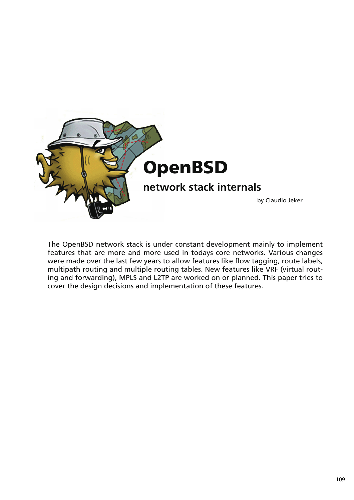

The OpenBSD network stack is under constant development mainly to implement features that are more and more used in todays core networks. Various changes were made over the last few years to allow features like flow tagging, route labels, multipath routing and multiple routing tables. New features like VRF (virtual routing and forwarding), MPLS and L2TP are worked on or planned. This paper tries to cover the design decisions and implementation of these features.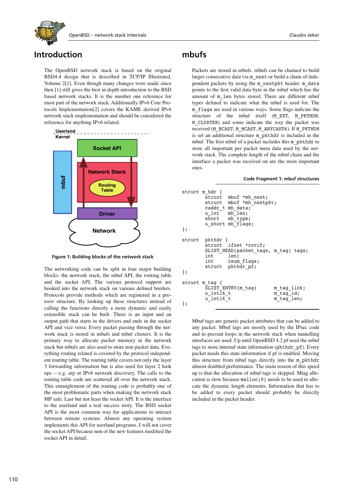

## **Introduction**

The OpenBSD network stack is based on the original BSD4.4 design that is described in TCP/IP Illustrated, Volume 2[1]. Even though many changes were made since then [1] still gives the best in depth introduction to the BSD based network stacks. It is the number one reference for most part of the network stack. Additionally IPv6 Core Protocols Implementation[2] covers the KAME derived IPv6 network stack implementation and should be considered the reference for anything IPv6 related.



**Figure 1: Building blocks of the network stack**

The networking code can be split in four major building blocks: the network stack, the mbuf API, the routing table and the socket API. The various protocol support are hooked into the network stack on various defined borders. Protocols provide methods which are registered in a protosw structure. By looking up these structures instead of calling the functions directly a more dynamic and easily extensible stack can be built. There is an input and an output path that starts in the drivers and ends in the socket API and vice versa. Every packet passing through the network stack is stored in mbufs and mbuf clusters. It is the primary way to allocate packet memory in the network stack but mbufs are also used to store non packet data. Everything routing related is covered by the protocol independent routing table. The routing table covers not only the layer 3 forwarding information but is also used for layer 2 look ups -- e.g. arp or IPv6 network discovery. The calls to the routing table code are scattered all over the network stack. This entanglement of the routing code is probably one of the most problematic parts when making the network stack MP safe. Last but not least the socket API. It is the interface to the userland and a real success story. The BSD socket API is the most common way for applications to interact between remote systems. Almost any operating system implements this API for userland programs. I will not cover the socket API because non of the new features modified the socket API in detail.

### **mbufs**

Packets are stored in mbufs. mbufs can be chained to build larger consecutive data via m\_next or build a chain of independent packets by using the m\_nextpkt header. m\_data points to the first valid data byte in the mbuf which has the amount of m\_len bytes stored. There are different mbuf types defined to indicate what the mbuf is used for. The m\_flags are used in various ways. Some flags indicate the structure of the mbuf itself (M\_EXT, M\_PKTHDR, M\_CLUSTER) and some indicate the way the packet was received (M\_BCAST, M\_MCAST, M\_ANYCAST6). If M\_PKTHDR is set an additional structure m\_pkthdr is included in the mbuf. The first mbuf of a packet includes this m\_pkthdr to store all important per packet meta data used by the network stack. The complete length of the mbuf chain and the interface a packet was received on are the most important ones.

#### **Code Fragment 1: mbuf structures**

```
struct m hdr {
struct mbuf *mh_next;
struct mbuf *mh nextpkt;
             caddr t mh data;
             u int mh<sup>-</sup>len;
             short mh type;
             u short mh-flaqs;
};
struct pkthdr {
                          ifnet *rcvif;
             SLIST HEAD(packet tags, m_tag) tags;
              int len;
             int csum_flags;<br>struct pkthdr pf;
                          pkthdr pf;
};
struct m_tag {
              SLIST_ENTRY(m_tag) m_tag_link;
             u_int\overline{16}_t to m_t \overline{t} and t \overline{u} and t \overline{u} and t \overline{u} and t \overline{u} and t \overline{u} and t \overline{u} and t \overline{u} and t \overline{u} and t \overline{u} \overline{t} \overline{u} \overline{t} \overline{umtaglen;};
```
Mbuf tags are generic packet attributes that can be added to any packet. Mbuf tags are mostly used by the IPsec code and to prevent loops in the network stack when tunnelling interfaces are used. Up until OpenBSD 4.2 pf used the mbuf tags to store internal state information (pkthdr pf). Every packet needs this state information if pf is enabled. Moving this structure from mbuf tags directly into the m\_pkthdr almost doubled performance. The main reason of this speed up is that the allocation of mbuf tags is skipped. Mtag allocation is slow because malloc(9) needs to be used to allocate the dynamic length elements. Information that has to be added to every packet should probably be directly included in the packet header.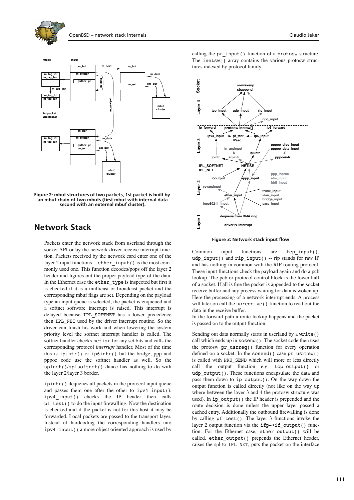



**Figure 2: mbuf structures of two packets, 1st packet is built by an mbuf chain of two mbufs (first mbuf with internal data second with an external mbuf cluster).**

### **Network Stack**

Packets enter the network stack from userland through the socket API or by the network driver receive interrupt function. Packets received by the network card enter one of the layer 2 input functions -- ether input () is the most commonly used one. This function decodes/pops off the layer 2 header and figures out the proper payload type of the data. In the Ethernet case the ether\_type is inspected but first it is checked if it is a multicast or broadcast packet and the corresponding mbuf flags are set. Depending on the payload type an input queue is selected, the packet is enqueued and a softnet software interrupt is raised. This interrupt is delayed because IPL\_SOFTNET has a lower precedence then IPL\_NET used by the driver interrupt routine. So the driver can finish his work and when lowering the system priority level the softnet interrupt handler is called. The softnet handler checks netisr for any set bits and calls the corresponding protocol *interrupt* handler. Most of the time this is ipintr() or ip6intr() but the bridge, ppp and pppoe code use the softnet handler as well. So the splnet()/splsoftnet() dance has nothing to do with the layer 2/layer 3 border.

ipintr() dequeues all packets in the protocol input queue and passes them one after the other to ipv4\_input(). ipv4\_input() checks the IP header then calls pf\_test() to do the input firewalling. Now the destination is checked and if the packet is not for this host it may be forwarded. Local packets are passed to the transport layer. Instead of hardcoding the corresponding handlers into ipv4\_input() a more object oriented approach is used by

calling the pr\_input() function of a protosw structure. The inetsw[] array contains the various protosw structures indexed by protocol family.



**Figure 3: Network stack input flow**

Common input functions are tcp\_input(), udp input() and rip input() -- rip stands for raw IP and has nothing in common with the RIP routing protocol. These input functions check the payload again and do a pcb lookup. The pcb or protocol control block is the lower half of a socket. If all is fine the packet is appended to the socket receive buffer and any process waiting for data is woken up. Here the processing of a network interrupt ends. A process will later on call the soreceive() function to read out the data in the receive buffer.

In the forward path a route lookup happens and the packet is passed on to the output function.

Sending out data normally starts in userland by a write() call which ends up in sosend(). The socket code then uses the protosw pr\_usrreq() function for every operation defined on a socket. In the sosend() case pr\_usrreq() is called with PRU\_SEND which will more or less directly call the output function e.g. tcp output() or udp output(). These functions encapsulate the data and pass them down to ip\_output(). On the way down the output function is called directly (not like on the way up where between the layer 3 and 4 the protosw structure was used). In ip\_output() the IP header is prepended and the route decision is done unless the upper layer passed a cached entry. Additionally the outbound firewalling is done by calling  $pf$  test(). The layer 3 functions invoke the layer 2 output function via the ifp->if output() function. For the Ethernet case, ether\_output() will be called. ether output() prepends the Ethernet header, raises the spl to IPL\_NET, puts the packet on the interface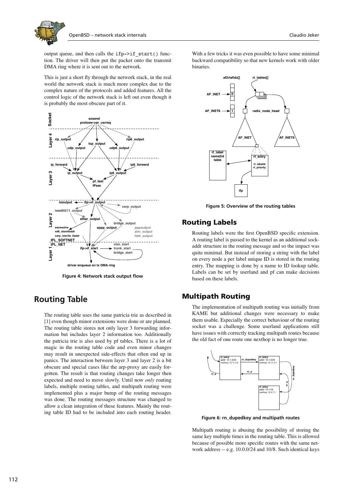

output queue, and then calls the ifp->if\_start() function. The driver will then put the packet onto the transmit DMA ring where it is sent out to the network.

This is just a short fly through the network stack, in the real world the network stack is much more complex due to the complex nature of the protocols and added features. All the control logic of the network stack is left out even though it is probably the most obscure part of it.



**Figure 4: Network stack output flow**

## **Routing Table**

The routing table uses the same patricia trie as described in [1] even though minor extensions were done or are planned. The routing table stores not only layer 3 forwarding information but includes layer 2 information too. Additionally the patricia trie is also used by pf tables. There is a lot of magic in the routing table code and even minor changes may result in unexpected side-effects that often end up in panics. The interaction between layer 3 and layer 2 is a bit obscure and special cases like the arp-proxy are easily forgotten. The result is that routing changes take longer then expected and need to move slowly. Until now *only* routing labels, multiple routing tables, and multipath routing were implemented plus a major bump of the routing messages was done. The routing messages structure was changed to allow a clean integration of these features. Mainly the routing table ID had to be included into each routing header.

With a few tricks it was even possible to have some minimal backward compatibility so that new kernels work with older binaries.



**Figure 5: Overview of the routing tables**

### **Routing Labels**

Routing labels were the first OpenBSD specific extension. A routing label is passed to the kernel as an additional sockaddr structure in the routing message and so the impact was quite minimal. But instead of storing a string with the label on every node a per label unique ID is stored in the routing entry. The mapping is done by a name to ID lookup table. Labels can be set by userland and pf can make decisions based on these labels.

### **Multipath Routing**

The implementation of multipath routing was initially from KAME but additional changes were necessary to make them usable. Especially the correct behaviour of the routing socket was a challenge. Some userland applications still have issues with correctly tracking multipath routes because the old fact of one route one nexthop is no longer true.



**Figure 6: rn\_dupedkey and multipath routes**

Multipath routing is abusing the possibility of storing the same key multiple times in the routing table. This is allowed because of possible more specific routes with the same network address -- e.g. 10.0.0/24 and 10/8. Such identical keys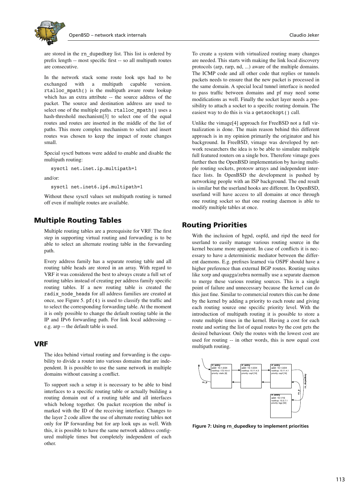

are stored in the rn\_dupedkey list. This list is ordered by prefix length -- most specific first -- so all multipath routes are consecutive.

In the network stack some route look ups had to be exchanged with a multipath capable version. rtalloc\_mpath() is the multipath aware route lookup which has an extra attribute -- the source address of the packet. The source and destination address are used to select one of the multiple paths. rtalloc mpath() uses a hash-threshold mechanism[3] to select one of the equal routes and routes are inserted in the middle of the list of paths. This more complex mechanism to select and insert routes was chosen to keep the impact of route changes small.

Special sysctl buttons were added to enable and disable the multipath routing:

sysctl net.inet.ip.multipath=1

and/or:

sysctl net.inet6.ip6.multipath=1

Without these sysctl values set multipath routing is turned off even if multiple routes are available.

#### **Multiple Routing Tables**

Multiple routing tables are a prerequisite for VRF. The first step in supporting virtual routing and forwarding is to be able to select an alternate routing table in the forwarding path.

Every address family has a separate routing table and all routing table heads are stored in an array. With regard to VRF it was considered the best to always create a full set of routing tables instead of creating per address family specific routing tables. If a new routing table is created the radix\_node\_heads for all address families are created at once, see Figure 5. pf(4) is used to classify the traffic and to select the corresponding forwarding table. At the moment it is only possible to change the default routing table in the IP and IPv6 forwarding path. For link local addressing - e.g. arp -- the default table is used.

#### **VRF**

The idea behind virtual routing and forwarding is the capability to divide a router into various domains that are independent. It is possible to use the same network in multiple domains without causing a conflict.

To support such a setup it is necessary to be able to bind interfaces to a specific routing table or actually building a routing domain out of a routing table and all interfaces which belong together. On packet reception the mbuf is marked with the ID of the receiving interface. Changes to the layer 2 code allow the use of alternate routing tables not only for IP forwarding but for arp look ups as well. With this, it is possible to have the same network address configured multiple times but completely independent of each other.

To create a system with virtualized routing many changes are needed. This starts with making the link local discovery protocols (arp, rarp, nd, ...) aware of the multiple domains. The ICMP code and all other code that replies or tunnels packets needs to ensure that the new packet is processed in the same domain. A special local tunnel interface is needed to pass traffic between domains and pf may need some modifications as well. Finally the socket layer needs a possibility to attach a socket to a specific routing domain. The easiest way to do this is via a getsockopt() call.

Unlike the vimage[4] approach for FreeBSD not a full virtualization is done. The main reason behind this different approach is in my opinion primarily the originator and his background. In FreeBSD, vimage was developed by network researchers the idea is to be able to simulate multiple full featured routers on a single box. Therefore vimage goes further then the OpenBSD implementation by having multiple routing sockets, protosw arrays and independent interface lists. In OpenBSD the development is pushed by networking people with an ISP background. The end result is similar but the userland hooks are different. In OpenBSD, userland will have access to all domains at once through one routing socket so that one routing daemon is able to modify multiple tables at once.

#### **Routing Priorities**

With the inclusion of bgpd, ospfd, and ripd the need for userland to easily manage various routing source in the kernel became more apparent. In case of conflicts it is necessary to have a deterministic mediator between the different daemons. E.g. prefixes learned via OSPF should have a higher preference than external BGP routes. Routing suites like xorp and quagga/zebra normally use a separate daemon to merge these various routing sources. This is a single point of failure and unnecessary because the kernel can do this just fine. Similar to commercial routers this can be done by the kernel by adding a priority to each route and giving each routing source one specific priority level. With the introduction of multipath routing it is possible to store a route multiple times in the kernel. Having a cost for each route and sorting the list of equal routes by the cost gets the desired behaviour. Only the routes with the lowest cost are used for routing -- in other words, this is now equal cost multipath routing.



**Figure 7: Using rn\_dupedkey to implement priorities**